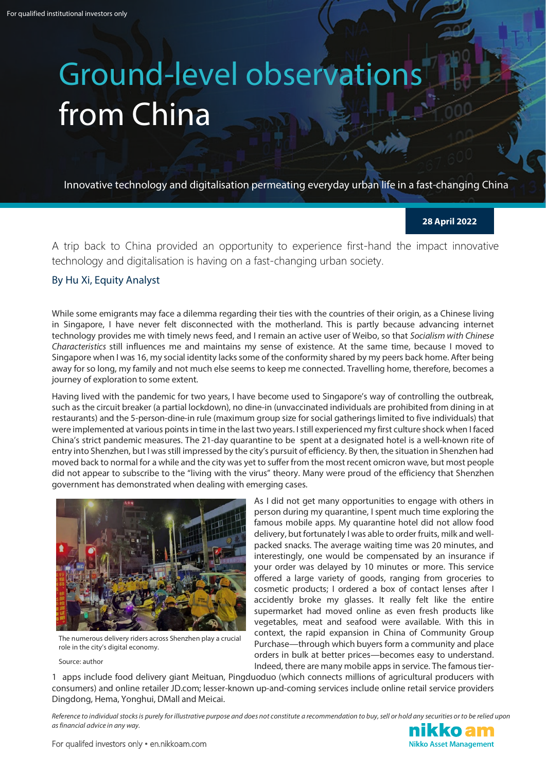## Ground-level observations from China

Innovative technology and digitalisation permeating everyday urban life in a fast-changing China

**28 April 2022**

A trip back to China provided an opportunity to experience first-hand the impact innovative technology and digitalisation is having on a fast-changing urban society.

## By Hu Xi, Equity Analyst

While some emigrants may face a dilemma regarding their ties with the countries of their origin, as a Chinese living in Singapore, I have never felt disconnected with the motherland. This is partly because advancing internet technology provides me with timely news feed, and I remain an active user of Weibo, so that *Socialism with Chinese Characteristics* still influences me and maintains my sense of existence. At the same time, because I moved to Singapore when I was 16, my social identity lacks some of the conformity shared by my peers back home. After being away for so long, my family and not much else seems to keep me connected. Travelling home, therefore, becomes a journey of exploration to some extent.

Having lived with the pandemic for two years, I have become used to Singapore's way of controlling the outbreak, such as the circuit breaker (a partial lockdown), no dine-in (unvaccinated individuals are prohibited from dining in at restaurants) and the 5-person-dine-in rule (maximum group size for social gatherings limited to five individuals) that were implemented at various points in time in the last two years. I still experienced my first culture shock when I faced China's strict pandemic measures. The 21-day quarantine to be spent at a designated hotel is a well-known rite of entry into Shenzhen, but I was still impressed by the city's pursuit of efficiency. By then, the situation in Shenzhen had moved back to normal for a while and the city was yet to suffer from the most recent omicron wave, but most people did not appear to subscribe to the "living with the virus" theory. Many were proud of the efficiency that Shenzhen government has demonstrated when dealing with emerging cases.



The numerous delivery riders across Shenzhen play a crucial role in the city's digital economy.

Source: author

As I did not get many opportunities to engage with others in person during my quarantine, I spent much time exploring the famous mobile apps. My quarantine hotel did not allow food delivery, but fortunately I was able to order fruits, milk and wellpacked snacks. The average waiting time was 20 minutes, and interestingly, one would be compensated by an insurance if your order was delayed by 10 minutes or more. This service offered a large variety of goods, ranging from groceries to cosmetic products; I ordered a box of contact lenses after I accidently broke my glasses. It really felt like the entire supermarket had moved online as even fresh products like vegetables, meat and seafood were available. With this in context, the rapid expansion in China of Community Group Purchase—through which buyers form a community and place orders in bulk at better prices—becomes easy to understand. Indeed, there are many mobile apps in service. The famous tier-

1 apps include food delivery giant Meituan, Pingduoduo (which connects millions of agricultural producers with consumers) and online retailer JD.com; lesser-known up-and-coming services include online retail service providers Dingdong, Hema, Yonghui, DMall and Meicai.

*Reference to individual stocks is purely for illustrative purpose and does not constitute a recommendation to buy, sell or hold any securities or to be relied upon as financial advice in any way.*

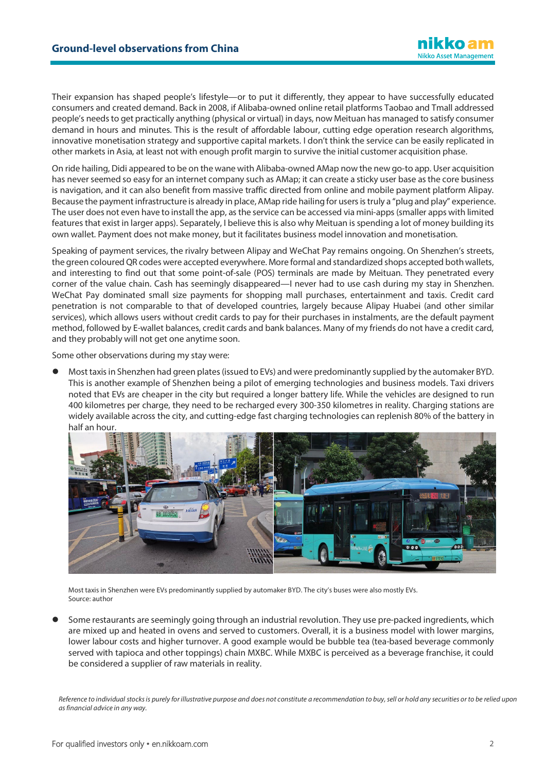Their expansion has shaped people's lifestyle—or to put it differently, they appear to have successfully educated consumers and created demand. Back in 2008, if Alibaba-owned online retail platforms Taobao and Tmall addressed people's needs to get practically anything (physical or virtual) in days, now Meituan has managed to satisfy consumer demand in hours and minutes. This is the result of affordable labour, cutting edge operation research algorithms, innovative monetisation strategy and supportive capital markets. I don't think the service can be easily replicated in other markets in Asia, at least not with enough profit margin to survive the initial customer acquisition phase.

On ride hailing, Didi appeared to be on the wane with Alibaba-owned AMap now the new go-to app. User acquisition has never seemed so easy for an internet company such as AMap; it can create a sticky user base as the core business is navigation, and it can also benefit from massive traffic directed from online and mobile payment platform Alipay. Because the payment infrastructure is already in place, AMap ride hailing for users is truly a "plug and play" experience. The user does not even have to install the app, as the service can be accessed via mini-apps (smaller apps with limited features that exist in larger apps). Separately, I believe this is also why Meituan is spending a lot of money building its own wallet. Payment does not make money, but it facilitates business model innovation and monetisation.

Speaking of payment services, the rivalry between Alipay and WeChat Pay remains ongoing. On Shenzhen's streets, the green coloured QR codes were accepted everywhere. More formal and standardized shops accepted both wallets, and interesting to find out that some point-of-sale (POS) terminals are made by Meituan. They penetrated every corner of the value chain. Cash has seemingly disappeared—I never had to use cash during my stay in Shenzhen. WeChat Pay dominated small size payments for shopping mall purchases, entertainment and taxis. Credit card penetration is not comparable to that of developed countries, largely because Alipay Huabei (and other similar services), which allows users without credit cards to pay for their purchases in instalments, are the default payment method, followed by E-wallet balances, credit cards and bank balances. Many of my friends do not have a credit card, and they probably will not get one anytime soon.

Some other observations during my stay were:

 Most taxisin Shenzhen had green plates(issued to EVs) and were predominantly supplied by the automaker BYD. This is another example of Shenzhen being a pilot of emerging technologies and business models. Taxi drivers noted that EVs are cheaper in the city but required a longer battery life. While the vehicles are designed to run 400 kilometres per charge, they need to be recharged every 300-350 kilometres in reality. Charging stations are widely available across the city, and cutting-edge fast charging technologies can replenish 80% of the battery in half an hour.



Most taxis in Shenzhen were EVs predominantly supplied by automaker BYD. The city's buses were also mostly EVs. Source: author

 Some restaurants are seemingly going through an industrial revolution. They use pre-packed ingredients, which are mixed up and heated in ovens and served to customers. Overall, it is a business model with lower margins, lower labour costs and higher turnover. A good example would be bubble tea (tea-based beverage commonly served with tapioca and other toppings) chain MXBC. While MXBC is perceived as a beverage franchise, it could be considered a supplier of raw materials in reality.

*Reference to individual stocks is purely for illustrative purpose and does not constitute a recommendation to buy, sell or hold any securities or to be relied upon as financial advice in any way.*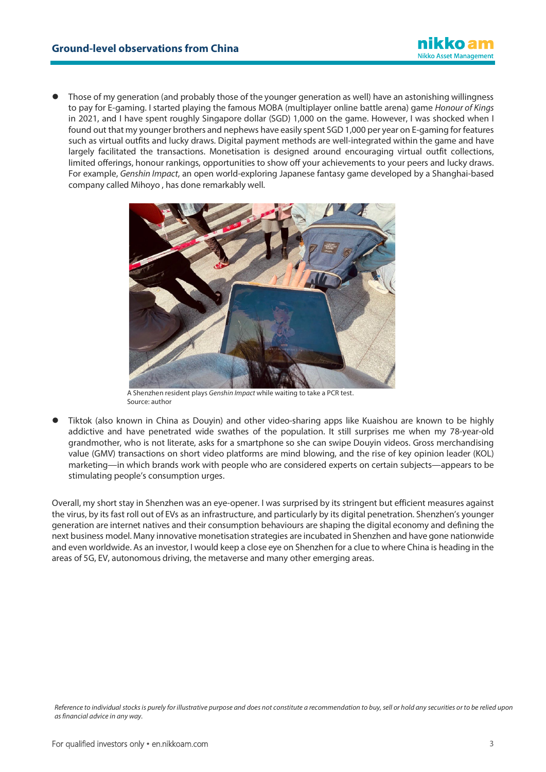

 Those of my generation (and probably those of the younger generation as well) have an astonishing willingness to pay for E-gaming. I started playing the famous MOBA (multiplayer online battle arena) game *Honour of Kings* in 2021, and I have spent roughly Singapore dollar (SGD) 1,000 on the game. However, I was shocked when I found out that my younger brothers and nephews have easily spent SGD 1,000 per year on E-gaming for features such as virtual outfits and lucky draws. Digital payment methods are well-integrated within the game and have largely facilitated the transactions. Monetisation is designed around encouraging virtual outfit collections, limited offerings, honour rankings, opportunities to show off your achievements to your peers and lucky draws. For example, *Genshin Impact*, an open world-exploring Japanese fantasy game developed by a Shanghai-based company called Mihoyo , has done remarkably well.



A Shenzhen resident plays *Genshin Impact* while waiting to take a PCR test. Source: author

 Tiktok (also known in China as Douyin) and other video-sharing apps like Kuaishou are known to be highly addictive and have penetrated wide swathes of the population. It still surprises me when my 78-year-old grandmother, who is not literate, asks for a smartphone so she can swipe Douyin videos. Gross merchandising value (GMV) transactions on short video platforms are mind blowing, and the rise of key opinion leader (KOL) marketing—in which brands work with people who are considered experts on certain subjects—appears to be stimulating people's consumption urges.

Overall, my short stay in Shenzhen was an eye-opener. I was surprised by its stringent but efficient measures against the virus, by its fast roll out of EVs as an infrastructure, and particularly by its digital penetration. Shenzhen's younger generation are internet natives and their consumption behaviours are shaping the digital economy and defining the next business model. Many innovative monetisation strategies are incubated in Shenzhen and have gone nationwide and even worldwide. As an investor, I would keep a close eye on Shenzhen for a clue to where China is heading in the areas of 5G, EV, autonomous driving, the metaverse and many other emerging areas.

*Reference to individual stocks is purely for illustrative purpose and does not constitute a recommendation to buy, sell or hold any securities or to be relied upon as financial advice in any way.*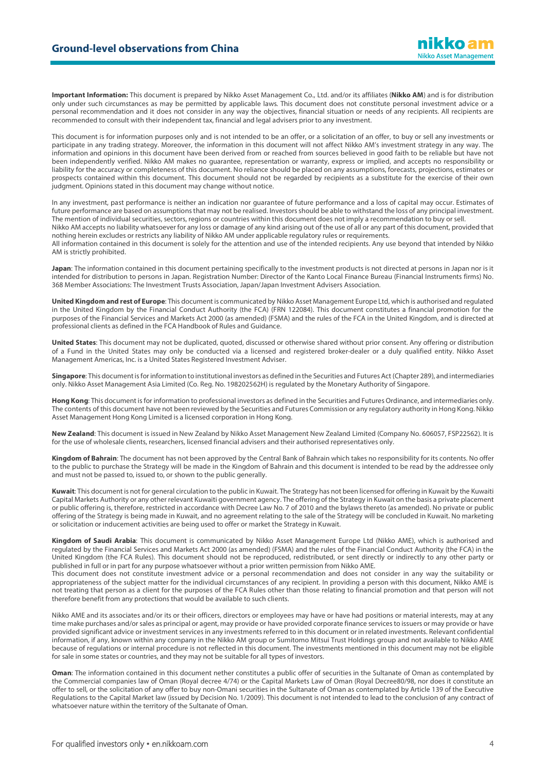**Important Information:** This document is prepared by Nikko Asset Management Co., Ltd. and/or its affiliates (**Nikko AM**) and is for distribution only under such circumstances as may be permitted by applicable laws. This document does not constitute personal investment advice or a personal recommendation and it does not consider in any way the objectives, financial situation or needs of any recipients. All recipients are recommended to consult with their independent tax, financial and legal advisers prior to any investment.

This document is for information purposes only and is not intended to be an offer, or a solicitation of an offer, to buy or sell any investments or participate in any trading strategy. Moreover, the information in this document will not affect Nikko AM's investment strategy in any way. The information and opinions in this document have been derived from or reached from sources believed in good faith to be reliable but have not been independently verified. Nikko AM makes no guarantee, representation or warranty, express or implied, and accepts no responsibility or liability for the accuracy or completeness of this document. No reliance should be placed on any assumptions, forecasts, projections, estimates or prospects contained within this document. This document should not be regarded by recipients as a substitute for the exercise of their own judgment. Opinions stated in this document may change without notice.

In any investment, past performance is neither an indication nor guarantee of future performance and a loss of capital may occur. Estimates of future performance are based on assumptions that may not be realised. Investors should be able to withstand the loss of any principal investment. The mention of individual securities, sectors, regions or countries within this document does not imply a recommendation to buy or sell. Nikko AM accepts no liability whatsoever for any loss or damage of any kind arising out of the use of all or any part of this document, provided that nothing herein excludes or restricts any liability of Nikko AM under applicable regulatory rules or requirements. All information contained in this document is solely for the attention and use of the intended recipients. Any use beyond that intended by Nikko AM is strictly prohibited.

**Japan**: The information contained in this document pertaining specifically to the investment products is not directed at persons in Japan nor is it intended for distribution to persons in Japan. Registration Number: Director of the Kanto Local Finance Bureau (Financial Instruments firms) No. 368 Member Associations: The Investment Trusts Association, Japan/Japan Investment Advisers Association.

**United Kingdom and rest of Europe**: This document is communicated by Nikko Asset Management Europe Ltd, which is authorised and regulated in the United Kingdom by the Financial Conduct Authority (the FCA) (FRN 122084). This document constitutes a financial promotion for the purposes of the Financial Services and Markets Act 2000 (as amended) (FSMA) and the rules of the FCA in the United Kingdom, and is directed at professional clients as defined in the FCA Handbook of Rules and Guidance.

**United States**: This document may not be duplicated, quoted, discussed or otherwise shared without prior consent. Any offering or distribution of a Fund in the United States may only be conducted via a licensed and registered broker-dealer or a duly qualified entity. Nikko Asset Management Americas, Inc. is a United States Registered Investment Adviser.

**Singapore**: This document is for information to institutional investors as defined in the Securities and Futures Act (Chapter 289), and intermediaries only. Nikko Asset Management Asia Limited (Co. Reg. No. 198202562H) is regulated by the Monetary Authority of Singapore.

**Hong Kong**: This document is for information to professional investors as defined in the Securities and Futures Ordinance, and intermediaries only. The contents of this document have not been reviewed by the Securities and Futures Commission or any regulatory authority in Hong Kong. Nikko Asset Management Hong Kong Limited is a licensed corporation in Hong Kong.

**New Zealand**: This document is issued in New Zealand by Nikko Asset Management New Zealand Limited (Company No. 606057, FSP22562). It is for the use of wholesale clients, researchers, licensed financial advisers and their authorised representatives only.

**Kingdom of Bahrain**: The document has not been approved by the Central Bank of Bahrain which takes no responsibility for its contents. No offer to the public to purchase the Strategy will be made in the Kingdom of Bahrain and this document is intended to be read by the addressee only and must not be passed to, issued to, or shown to the public generally.

**Kuwait**: This document is not for general circulation to the public in Kuwait. The Strategy has not been licensed for offering in Kuwait by the Kuwaiti Capital Markets Authority or any other relevant Kuwaiti government agency. The offering of the Strategy in Kuwait on the basis a private placement or public offering is, therefore, restricted in accordance with Decree Law No. 7 of 2010 and the bylaws thereto (as amended). No private or public offering of the Strategy is being made in Kuwait, and no agreement relating to the sale of the Strategy will be concluded in Kuwait. No marketing or solicitation or inducement activities are being used to offer or market the Strategy in Kuwait.

**Kingdom of Saudi Arabia**: This document is communicated by Nikko Asset Management Europe Ltd (Nikko AME), which is authorised and regulated by the Financial Services and Markets Act 2000 (as amended) (FSMA) and the rules of the Financial Conduct Authority (the FCA) in the United Kingdom (the FCA Rules). This document should not be reproduced, redistributed, or sent directly or indirectly to any other party or published in full or in part for any purpose whatsoever without a prior written permission from Nikko AME.

This document does not constitute investment advice or a personal recommendation and does not consider in any way the suitability or appropriateness of the subject matter for the individual circumstances of any recipient. In providing a person with this document, Nikko AME is not treating that person as a client for the purposes of the FCA Rules other than those relating to financial promotion and that person will not therefore benefit from any protections that would be available to such clients.

Nikko AME and its associates and/or its or their officers, directors or employees may have or have had positions or material interests, may at any time make purchases and/or sales as principal or agent, may provide or have provided corporate finance services to issuers or may provide or have provided significant advice or investment services in any investments referred to in this document or in related investments. Relevant confidential information, if any, known within any company in the Nikko AM group or Sumitomo Mitsui Trust Holdings group and not available to Nikko AME because of regulations or internal procedure is not reflected in this document. The investments mentioned in this document may not be eligible for sale in some states or countries, and they may not be suitable for all types of investors.

**Oman**: The information contained in this document nether constitutes a public offer of securities in the Sultanate of Oman as contemplated by the Commercial companies law of Oman (Royal decree 4/74) or the Capital Markets Law of Oman (Royal Decree80/98, nor does it constitute an offer to sell, or the solicitation of any offer to buy non-Omani securities in the Sultanate of Oman as contemplated by Article 139 of the Executive Regulations to the Capital Market law (issued by Decision No. 1/2009). This document is not intended to lead to the conclusion of any contract of whatsoever nature within the territory of the Sultanate of Oman.